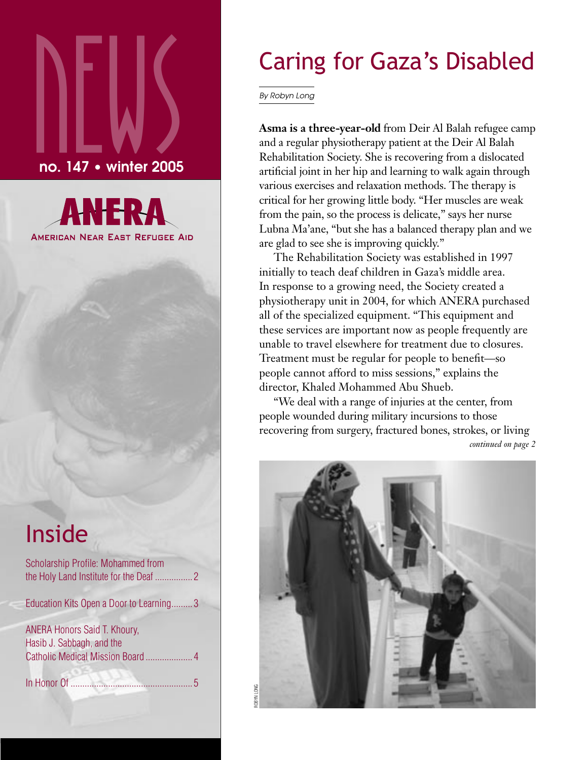# $\sum_{\text{no. 147}}$ no. 147 • winter 2005



## Inside

| Scholarship Profile: Mohammed from                        |  |
|-----------------------------------------------------------|--|
| Education Kits Open a Door to Learning3                   |  |
| ANERA Honors Said T. Khoury,<br>Hasib J. Sabbagh, and the |  |
| In Honor Of                                               |  |

## Caring for Gaza's Disabled

By Robyn Long

**Asma is a three-year-old** from Deir Al Balah refugee camp and a regular physiotherapy patient at the Deir Al Balah Rehabilitation Society. She is recovering from a dislocated artificial joint in her hip and learning to walk again through various exercises and relaxation methods. The therapy is critical for her growing little body. "Her muscles are weak from the pain, so the process is delicate," says her nurse Lubna Ma'ane, "but she has a balanced therapy plan and we are glad to see she is improving quickly."

The Rehabilitation Society was established in 1997 initially to teach deaf children in Gaza's middle area. In response to a growing need, the Society created a physiotherapy unit in 2004, for which ANERA purchased all of the specialized equipment. "This equipment and these services are important now as people frequently are unable to travel elsewhere for treatment due to closures. Treatment must be regular for people to benefit—so people cannot afford to miss sessions," explains the director, Khaled Mohammed Abu Shueb.

"We deal with a range of injuries at the center, from people wounded during military incursions to those recovering from surgery, fractured bones, strokes, or living *continued on page 2*

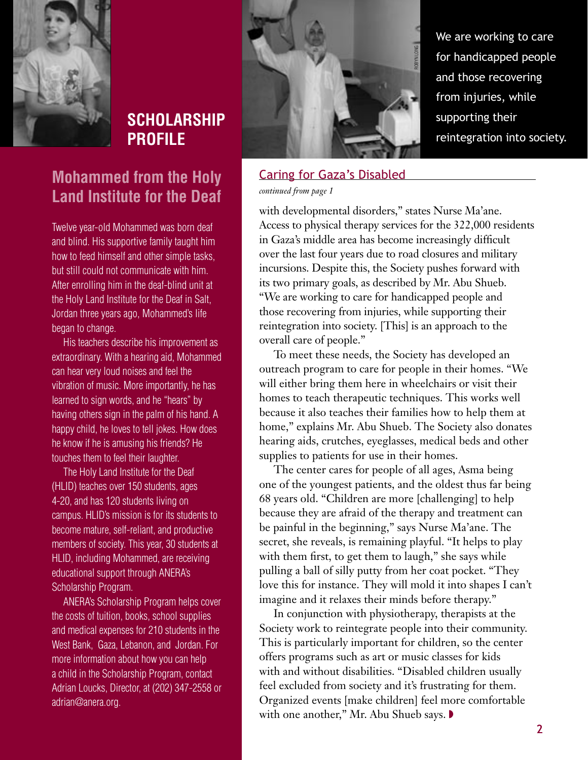

## **SCHOLARSHIP PROFILE**

#### **Mohammed from the Holy Land Institute for the Deaf**

Twelve year-old Mohammed was born deaf and blind. His supportive family taught him how to feed himself and other simple tasks, but still could not communicate with him. After enrolling him in the deaf-blind unit at the Holy Land Institute for the Deaf in Salt, Jordan three years ago, Mohammed's life began to change.

His teachers describe his improvement as extraordinary. With a hearing aid, Mohammed can hear very loud noises and feel the vibration of music. More importantly, he has learned to sign words, and he "hears" by having others sign in the palm of his hand. A happy child, he loves to tell jokes. How does he know if he is amusing his friends? He touches them to feel their laughter.

The Holy Land Institute for the Deaf (HLID) teaches over 150 students, ages 4-20, and has 120 students living on campus. HLID's mission is for its students to become mature, self-reliant, and productive members of society. This year, 30 students at HLID, including Mohammed, are receiving educational support through ANERA's Scholarship Program.

ANERA's Scholarship Program helps cover the costs of tuition, books, school supplies and medical expenses for 210 students in the West Bank, Gaza, Lebanon, and Jordan. For more information about how you can help a child in the Scholarship Program, contact Adrian Loucks, Director, at (202) 347-2558 or adrian@anera.org.



We are working to care for handicapped people and those recovering from injuries, while supporting their reintegration into society.

### Caring for Gaza's Disabled

*continued from page 1* 

with developmental disorders," states Nurse Ma'ane. Access to physical therapy services for the 322,000 residents in Gaza's middle area has become increasingly difficult over the last four years due to road closures and military incursions. Despite this, the Society pushes forward with its two primary goals, as described by Mr. Abu Shueb. "We are working to care for handicapped people and those recovering from injuries, while supporting their reintegration into society. [This] is an approach to the overall care of people."

To meet these needs, the Society has developed an outreach program to care for people in their homes. "We will either bring them here in wheelchairs or visit their homes to teach therapeutic techniques. This works well because it also teaches their families how to help them at home," explains Mr. Abu Shueb. The Society also donates hearing aids, crutches, eyeglasses, medical beds and other supplies to patients for use in their homes.

The center cares for people of all ages, Asma being one of the youngest patients, and the oldest thus far being 68 years old. "Children are more [challenging] to help because they are afraid of the therapy and treatment can be painful in the beginning," says Nurse Ma'ane. The secret, she reveals, is remaining playful. "It helps to play with them first, to get them to laugh," she says while pulling a ball of silly putty from her coat pocket. "They love this for instance. They will mold it into shapes I can't imagine and it relaxes their minds before therapy."

In conjunction with physiotherapy, therapists at the Society work to reintegrate people into their community. This is particularly important for children, so the center offers programs such as art or music classes for kids with and without disabilities. "Disabled children usually feel excluded from society and it's frustrating for them. Organized events [make children] feel more comfortable with one another," Mr. Abu Shueb says. ◗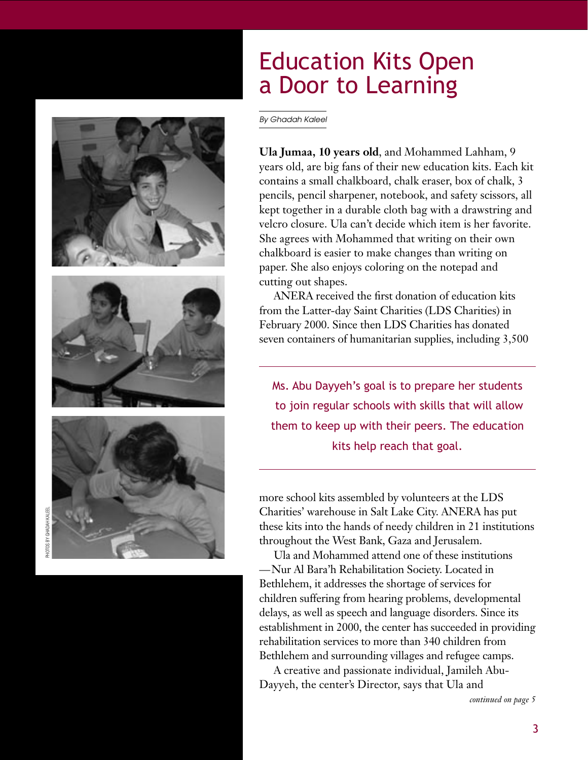

## Education Kits Open a Door to Learning

By Ghadah Kaleel

**Ula Jumaa, 10 years old**, and Mohammed Lahham, 9 years old, are big fans of their new education kits. Each kit contains a small chalkboard, chalk eraser, box of chalk, 3 pencils, pencil sharpener, notebook, and safety scissors, all kept together in a durable cloth bag with a drawstring and velcro closure. Ula can't decide which item is her favorite. She agrees with Mohammed that writing on their own chalkboard is easier to make changes than writing on paper. She also enjoys coloring on the notepad and cutting out shapes.

ANERA received the first donation of education kits from the Latter-day Saint Charities (LDS Charities) in February 2000. Since then LDS Charities has donated seven containers of humanitarian supplies, including 3,500

Ms. Abu Dayyeh's goal is to prepare her students to join regular schools with skills that will allow them to keep up with their peers. The education kits help reach that goal.

more school kits assembled by volunteers at the LDS Charities' warehouse in Salt Lake City. ANERA has put these kits into the hands of needy children in 21 institutions throughout the West Bank, Gaza and Jerusalem.

Ula and Mohammed attend one of these institutions — Nur Al Bara'h Rehabilitation Society. Located in Bethlehem, it addresses the shortage of services for children suffering from hearing problems, developmental delays, as well as speech and language disorders. Since its establishment in 2000, the center has succeeded in providing rehabilitation services to more than 340 children from Bethlehem and surrounding villages and refugee camps.

A creative and passionate individual, Jamileh Abu-Dayyeh, the center's Director, says that Ula and

*continued on page 5*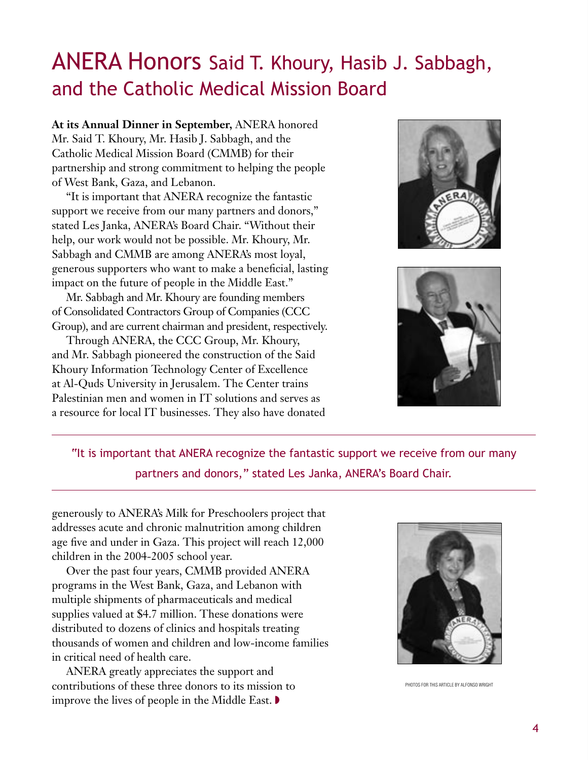## ANERA Honors Said T. Khoury, Hasib J. Sabbagh, and the Catholic Medical Mission Board

**At its Annual Dinner in September,** ANERA honored Mr. Said T. Khoury, Mr. Hasib J. Sabbagh, and the Catholic Medical Mission Board (CMMB) for their partnership and strong commitment to helping the people of West Bank, Gaza, and Lebanon.

"It is important that ANERA recognize the fantastic support we receive from our many partners and donors," stated Les Janka, ANERA's Board Chair. "Without their help, our work would not be possible. Mr. Khoury, Mr. Sabbagh and CMMB are among ANERA's most loyal, generous supporters who want to make a beneficial, lasting impact on the future of people in the Middle East."

Mr. Sabbagh and Mr. Khoury are founding members of Consolidated Contractors Group of Companies (CCC Group), and are current chairman and president, respectively.

Through ANERA, the CCC Group, Mr. Khoury, and Mr. Sabbagh pioneered the construction of the Said Khoury Information Technology Center of Excellence at Al-Quds University in Jerusalem. The Center trains Palestinian men and women in IT solutions and serves as a resource for local IT businesses. They also have donated





"It is important that ANERA recognize the fantastic support we receive from our many partners and donors," stated Les Janka, ANERA's Board Chair.

generously to ANERA's Milk for Preschoolers project that addresses acute and chronic malnutrition among children age five and under in Gaza. This project will reach 12,000 children in the 2004-2005 school year.

Over the past four years, CMMB provided ANERA programs in the West Bank, Gaza, and Lebanon with multiple shipments of pharmaceuticals and medical supplies valued at \$4.7 million. These donations were distributed to dozens of clinics and hospitals treating thousands of women and children and low-income families in critical need of health care.

ANERA greatly appreciates the support and contributions of these three donors to its mission to improve the lives of people in the Middle East. ◗



PHOTOS FOR THIS ARTICLE BY ALFONSO WRIGHT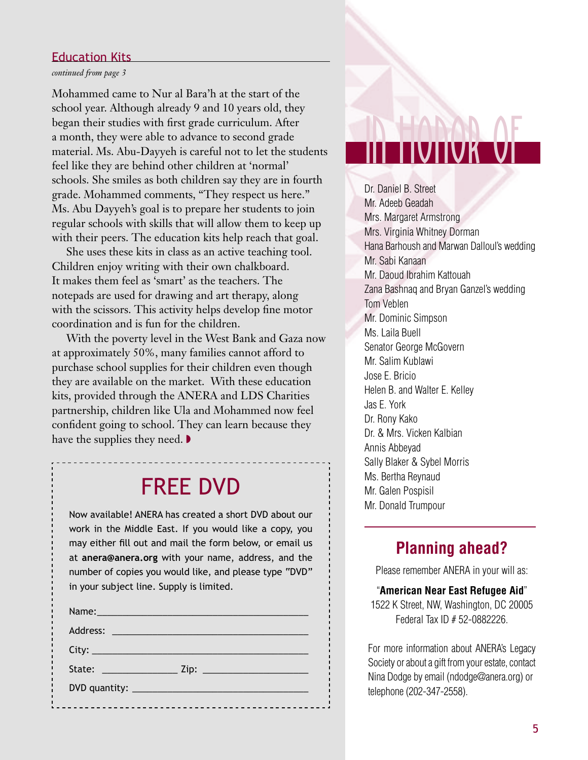#### Education Kits

#### *continued from page 3*

Mohammed came to Nur al Bara'h at the start of the school year. Although already 9 and 10 years old, they began their studies with first grade curriculum. After a month, they were able to advance to second grade material. Ms. Abu-Dayyeh is careful not to let the students feel like they are behind other children at 'normal' schools. She smiles as both children say they are in fourth grade. Mohammed comments, "They respect us here." Ms. Abu Dayyeh's goal is to prepare her students to join regular schools with skills that will allow them to keep up with their peers. The education kits help reach that goal.

She uses these kits in class as an active teaching tool. Children enjoy writing with their own chalkboard. It makes them feel as 'smart' as the teachers. The notepads are used for drawing and art therapy, along with the scissors. This activity helps develop fine motor coordination and is fun for the children.

With the poverty level in the West Bank and Gaza now at approximately 50%, many families cannot afford to purchase school supplies for their children even though they are available on the market. With these education kits, provided through the ANERA and LDS Charities partnership, children like Ula and Mohammed now feel confident going to school. They can learn because they have the supplies they need.  $\blacktriangleright$ 

## FREE DVD

Now available! ANERA has created a short DVD about our work in the Middle East. If you would like a copy, you may either fill out and mail the form below, or email us at **anera@anera.org** with your name, address, and the number of copies you would like, and please type "DVD" in your subject line. Supply is limited.

| Name: Name and the second contract of the second contract of the second contract of the second contract of the |
|----------------------------------------------------------------------------------------------------------------|
|                                                                                                                |
|                                                                                                                |
|                                                                                                                |
|                                                                                                                |
|                                                                                                                |

## in honor of

Dr. Daniel B. Street Mr. Adeeb Geadah Mrs. Margaret Armstrong Mrs. Virginia Whitney Dorman Hana Barhoush and Marwan Dalloul's wedding Mr. Sabi Kanaan Mr. Daoud Ibrahim Kattouah Zana Bashnaq and Bryan Ganzel's wedding Tom Veblen Mr. Dominic Simpson Ms. Laila Buell Senator George McGovern Mr. Salim Kublawi Jose E. Bricio Helen B. and Walter E. Kelley Jas E. York Dr. Rony Kako Dr. & Mrs. Vicken Kalbian Annis Abbeyad Sally Blaker & Sybel Morris Ms. Bertha Reynaud Mr. Galen Pospisil Mr. Donald Trumpour

#### **Planning ahead?**

Please remember ANERA in your will as:

#### "**American Near East Refugee Aid**"

1522 K Street, NW, Washington, DC 20005 Federal Tax ID # 52-0882226.

For more information about ANERA's Legacy Society or about a gift from your estate, contact Nina Dodge by email (ndodge@anera.org) or telephone (202-347-2558).